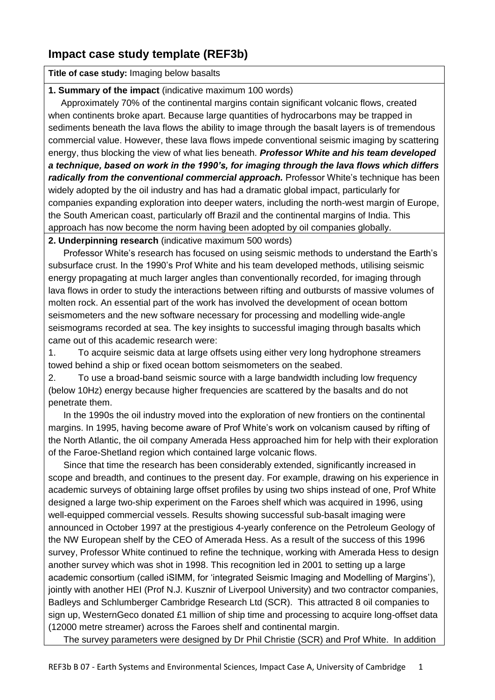## **Impact case study template (REF3b)**

**Title of case study:** Imaging below basalts

## **1. Summary of the impact** (indicative maximum 100 words)

 Approximately 70% of the continental margins contain significant volcanic flows, created when continents broke apart. Because large quantities of hydrocarbons may be trapped in sediments beneath the lava flows the ability to image through the basalt layers is of tremendous commercial value. However, these lava flows impede conventional seismic imaging by scattering energy, thus blocking the view of what lies beneath. *Professor White and his team developed a technique, based on work in the 1990's, for imaging through the lava flows which differs radically from the conventional commercial approach.* Professor White's technique has been widely adopted by the oil industry and has had a dramatic global impact, particularly for companies expanding exploration into deeper waters, including the north-west margin of Europe, the South American coast, particularly off Brazil and the continental margins of India. This approach has now become the norm having been adopted by oil companies globally.

**2. Underpinning research** (indicative maximum 500 words)

 Professor White's research has focused on using seismic methods to understand the Earth's subsurface crust. In the 1990's Prof White and his team developed methods, utilising seismic energy propagating at much larger angles than conventionally recorded, for imaging through lava flows in order to study the interactions between rifting and outbursts of massive volumes of molten rock. An essential part of the work has involved the development of ocean bottom seismometers and the new software necessary for processing and modelling wide-angle seismograms recorded at sea. The key insights to successful imaging through basalts which came out of this academic research were:

1. To acquire seismic data at large offsets using either very long hydrophone streamers towed behind a ship or fixed ocean bottom seismometers on the seabed.

2. To use a broad-band seismic source with a large bandwidth including low frequency (below 10Hz) energy because higher frequencies are scattered by the basalts and do not penetrate them.

 In the 1990s the oil industry moved into the exploration of new frontiers on the continental margins. In 1995, having become aware of Prof White's work on volcanism caused by rifting of the North Atlantic, the oil company Amerada Hess approached him for help with their exploration of the Faroe-Shetland region which contained large volcanic flows.

 Since that time the research has been considerably extended, significantly increased in scope and breadth, and continues to the present day. For example, drawing on his experience in academic surveys of obtaining large offset profiles by using two ships instead of one, Prof White designed a large two-ship experiment on the Faroes shelf which was acquired in 1996, using well-equipped commercial vessels. Results showing successful sub-basalt imaging were announced in October 1997 at the prestigious 4-yearly conference on the Petroleum Geology of the NW European shelf by the CEO of Amerada Hess. As a result of the success of this 1996 survey, Professor White continued to refine the technique, working with Amerada Hess to design another survey which was shot in 1998. This recognition led in 2001 to setting up a large academic consortium (called iSIMM, for 'integrated Seismic Imaging and Modelling of Margins'), jointly with another HEI (Prof N.J. Kusznir of Liverpool University) and two contractor companies, Badleys and Schlumberger Cambridge Research Ltd (SCR). This attracted 8 oil companies to sign up, WesternGeco donated £1 million of ship time and processing to acquire long-offset data (12000 metre streamer) across the Faroes shelf and continental margin.

The survey parameters were designed by Dr Phil Christie (SCR) and Prof White. In addition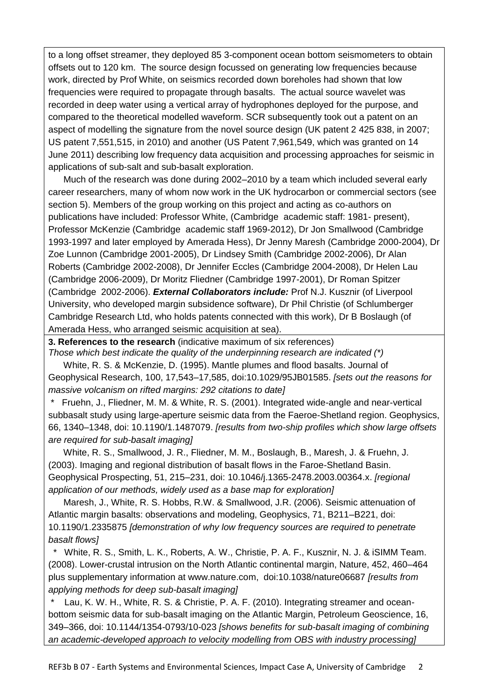to a long offset streamer, they deployed 85 3-component ocean bottom seismometers to obtain offsets out to 120 km. The source design focussed on generating low frequencies because work, directed by Prof White, on seismics recorded down boreholes had shown that low frequencies were required to propagate through basalts. The actual source wavelet was recorded in deep water using a vertical array of hydrophones deployed for the purpose, and compared to the theoretical modelled waveform. SCR subsequently took out a patent on an aspect of modelling the signature from the novel source design (UK patent 2 425 838, in 2007; US patent 7,551,515, in 2010) and another (US Patent 7,961,549, which was granted on 14 June 2011) describing low frequency data acquisition and processing approaches for seismic in applications of sub-salt and sub-basalt exploration.

 Much of the research was done during 2002–2010 by a team which included several early career researchers, many of whom now work in the UK hydrocarbon or commercial sectors (see section 5). Members of the group working on this project and acting as co-authors on publications have included: Professor White, (Cambridge academic staff: 1981- present), Professor McKenzie (Cambridge academic staff 1969-2012), Dr Jon Smallwood (Cambridge 1993-1997 and later employed by Amerada Hess), Dr Jenny Maresh (Cambridge 2000-2004), Dr Zoe Lunnon (Cambridge 2001-2005), Dr Lindsey Smith (Cambridge 2002-2006), Dr Alan Roberts (Cambridge 2002-2008), Dr Jennifer Eccles (Cambridge 2004-2008), Dr Helen Lau (Cambridge 2006-2009), Dr Moritz Fliedner (Cambridge 1997-2001), Dr Roman Spitzer (Cambridge 2002-2006). *External Collaborators include:* Prof N.J. Kusznir (of Liverpool University, who developed margin subsidence software), Dr Phil Christie (of Schlumberger Cambridge Research Ltd, who holds patents connected with this work), Dr B Boslaugh (of Amerada Hess, who arranged seismic acquisition at sea).

**3. References to the research** (indicative maximum of six references)

*Those which best indicate the quality of the underpinning research are indicated (\*)* White, R. S. & McKenzie, D. (1995). Mantle plumes and flood basalts. Journal of

Geophysical Research, 100, 17,543–17,585, doi:10.1029/95JB01585. *[sets out the reasons for massive volcanism on rifted margins: 292 citations to date]*

Fruehn, J., Fliedner, M. M. & White, R. S. (2001). Integrated wide-angle and near-vertical subbasalt study using large-aperture seismic data from the Faeroe-Shetland region. Geophysics, 66, 1340–1348, doi: 10.1190/1.1487079. *[results from two-ship profiles which show large offsets are required for sub-basalt imaging]*

 White, R. S., Smallwood, J. R., Fliedner, M. M., Boslaugh, B., Maresh, J. & Fruehn, J. (2003). Imaging and regional distribution of basalt flows in the Faroe-Shetland Basin. Geophysical Prospecting, 51, 215–231, doi: 10.1046/j.1365-2478.2003.00364.x. *[regional application of our methods, widely used as a base map for exploration]*

 Maresh, J., White, R. S. Hobbs, R.W. & Smallwood, J.R. (2006). Seismic attenuation of Atlantic margin basalts: observations and modeling, Geophysics, 71, B211–B221, doi: 10.1190/1.2335875 *[demonstration of why low frequency sources are required to penetrate basalt flows]*

\* White, R. S., Smith, L. K., Roberts, A. W., Christie, P. A. F., Kusznir, N. J. & iSIMM Team. (2008). Lower-crustal intrusion on the North Atlantic continental margin, Nature, 452, 460–464 plus supplementary information at www.nature.com, doi:10.1038/nature06687 *[results from applying methods for deep sub-basalt imaging]*

Lau, K. W. H., White, R. S. & Christie, P. A. F. (2010). Integrating streamer and oceanbottom seismic data for sub-basalt imaging on the Atlantic Margin, Petroleum Geoscience, 16, 349–366, doi: 10.1144/1354-0793/10-023 *[shows benefits for sub-basalt imaging of combining an academic-developed approach to velocity modelling from OBS with industry processing]*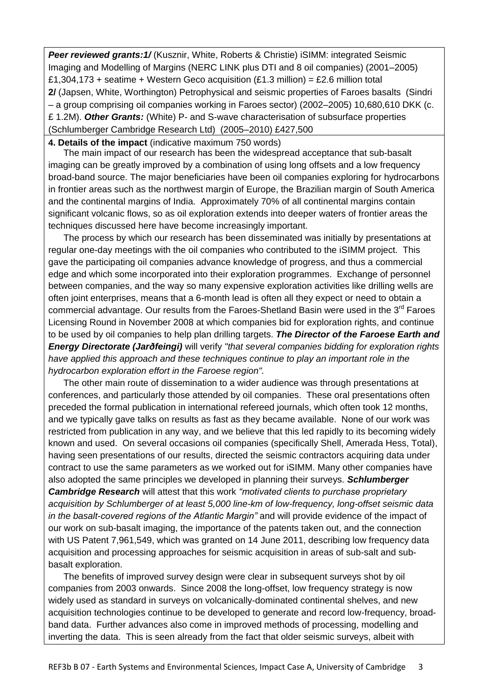**Peer reviewed grants:1/** (Kusznir, White, Roberts & Christie) iSIMM: integrated Seismic Imaging and Modelling of Margins (NERC LINK plus DTI and 8 oil companies) (2001–2005) £1,304,173 + seatime + Western Geco acquisition (£1.3 million) = £2.6 million total **2/** (Japsen, White, Worthington) Petrophysical and seismic properties of Faroes basalts (Sindri – a group comprising oil companies working in Faroes sector) (2002–2005) 10,680,610 DKK (c. £ 1.2M). *Other Grants:* (White) P- and S-wave characterisation of subsurface properties (Schlumberger Cambridge Research Ltd) (2005–2010) £427,500

## **4. Details of the impact** (indicative maximum 750 words)

 The main impact of our research has been the widespread acceptance that sub-basalt imaging can be greatly improved by a combination of using long offsets and a low frequency broad-band source. The major beneficiaries have been oil companies exploring for hydrocarbons in frontier areas such as the northwest margin of Europe, the Brazilian margin of South America and the continental margins of India. Approximately 70% of all continental margins contain significant volcanic flows, so as oil exploration extends into deeper waters of frontier areas the techniques discussed here have become increasingly important.

 The process by which our research has been disseminated was initially by presentations at regular one-day meetings with the oil companies who contributed to the iSIMM project. This gave the participating oil companies advance knowledge of progress, and thus a commercial edge and which some incorporated into their exploration programmes. Exchange of personnel between companies, and the way so many expensive exploration activities like drilling wells are often joint enterprises, means that a 6-month lead is often all they expect or need to obtain a commercial advantage. Our results from the Faroes-Shetland Basin were used in the 3<sup>rd</sup> Faroes Licensing Round in November 2008 at which companies bid for exploration rights, and continue to be used by oil companies to help plan drilling targets. *The Director of the Faroese Earth and Energy Directorate (Jarðfeingi)* will verify *"that several companies bidding for exploration rights have applied this approach and these techniques continue to play an important role in the hydrocarbon exploration effort in the Faroese region".*

 The other main route of dissemination to a wider audience was through presentations at conferences, and particularly those attended by oil companies. These oral presentations often preceded the formal publication in international refereed journals, which often took 12 months, and we typically gave talks on results as fast as they became available. None of our work was restricted from publication in any way, and we believe that this led rapidly to its becoming widely known and used. On several occasions oil companies (specifically Shell, Amerada Hess, Total), having seen presentations of our results, directed the seismic contractors acquiring data under contract to use the same parameters as we worked out for iSIMM. Many other companies have also adopted the same principles we developed in planning their surveys. *Schlumberger Cambridge Research* will attest that this work *"motivated clients to purchase proprietary acquisition by Schlumberger of at least 5,000 line-km of low-frequency, long-offset seismic data in the basalt-covered regions of the Atlantic Margin"* and will provide evidence of the impact of our work on sub-basalt imaging, the importance of the patents taken out, and the connection with US Patent 7,961,549, which was granted on 14 June 2011, describing low frequency data acquisition and processing approaches for seismic acquisition in areas of sub-salt and subbasalt exploration.

 The benefits of improved survey design were clear in subsequent surveys shot by oil companies from 2003 onwards. Since 2008 the long-offset, low frequency strategy is now widely used as standard in surveys on volcanically-dominated continental shelves, and new acquisition technologies continue to be developed to generate and record low-frequency, broadband data. Further advances also come in improved methods of processing, modelling and inverting the data. This is seen already from the fact that older seismic surveys, albeit with